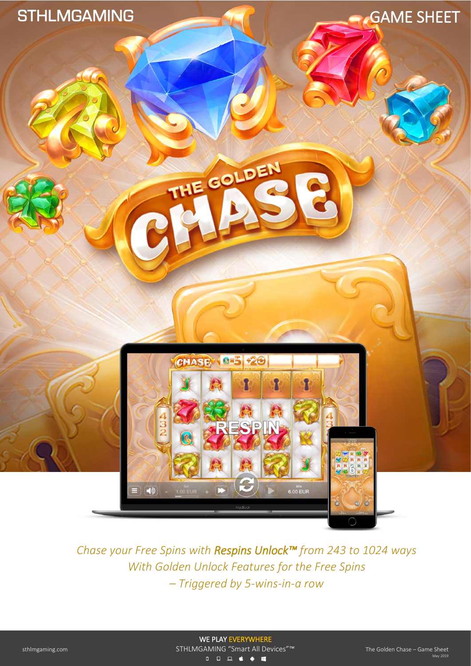





THE GOLDEN

*Chase your Free Spins with Respins Unlock™ from 243 to 1024 ways With Golden Unlock Features for the Free Spins – Triggered by 5-wins-in-a row*

 WE PLAY EVERYWHERE sthlmgaming.com STHLMGAMING "Smart All Devices"<sup>™</sup> Sheet – Game Sheet – Game Sheet – Game Sheet – Game Sheet – G 000605